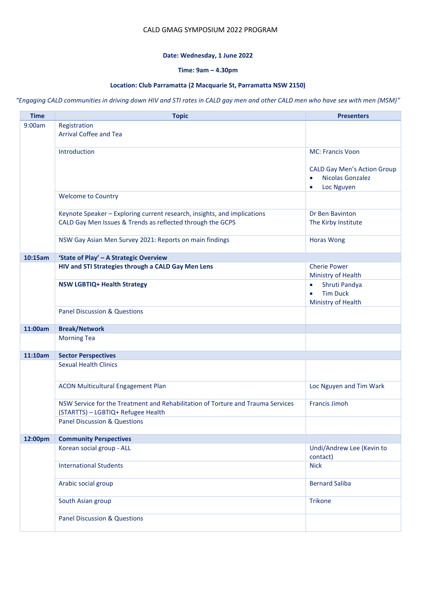### CALD GMAG SYMPOSIUM 2022 PROGRAM

### **Date: Wednesday, 1 June 2022**

## **Time: 9am – 4.30pm**

## **Location: Club Parramatta (2 Macquarie St, Parramatta NSW 2150)**

#### *"Engaging CALD communities in driving down HIV and STI rates in CALD gay men and other CALD men who have sex with men (MSM)"*

| <b>Time</b> | <b>Topic</b>                                                                                                          | <b>Presenters</b>                                                   |
|-------------|-----------------------------------------------------------------------------------------------------------------------|---------------------------------------------------------------------|
| 9:00am      | Registration                                                                                                          |                                                                     |
|             | <b>Arrival Coffee and Tea</b>                                                                                         |                                                                     |
|             | Introduction                                                                                                          | <b>MC: Francis Voon</b>                                             |
|             |                                                                                                                       |                                                                     |
|             |                                                                                                                       | <b>CALD Gay Men's Action Group</b><br>Nicolas Gonzalez<br>$\bullet$ |
|             |                                                                                                                       | Loc Nguyen<br>$\bullet$                                             |
|             | <b>Welcome to Country</b>                                                                                             |                                                                     |
|             | Keynote Speaker - Exploring current research, insights, and implications                                              | Dr Ben Bavinton                                                     |
|             | CALD Gay Men Issues & Trends as reflected through the GCPS                                                            | The Kirby Institute                                                 |
|             | NSW Gay Asian Men Survey 2021: Reports on main findings                                                               | <b>Horas Wong</b>                                                   |
| 10:15am     | 'State of Play' - A Strategic Overview                                                                                |                                                                     |
|             | HIV and STI Strategies through a CALD Gay Men Lens                                                                    | <b>Cherie Power</b><br>Ministry of Health                           |
|             | <b>NSW LGBTIQ+ Health Strategy</b>                                                                                    | Shruti Pandya<br>$\bullet$                                          |
|             |                                                                                                                       | <b>Tim Duck</b><br>$\bullet$                                        |
|             | <b>Panel Discussion &amp; Questions</b>                                                                               | Ministry of Health                                                  |
|             |                                                                                                                       |                                                                     |
| 11:00am     | <b>Break/Network</b>                                                                                                  |                                                                     |
|             | <b>Morning Tea</b>                                                                                                    |                                                                     |
| 11:10am     | <b>Sector Perspectives</b>                                                                                            |                                                                     |
|             | <b>Sexual Health Clinics</b>                                                                                          |                                                                     |
|             | <b>ACON Multicultural Engagement Plan</b>                                                                             | Loc Nguyen and Tim Wark                                             |
|             | NSW Service for the Treatment and Rehabilitation of Torture and Trauma Services<br>(STARTTS) - LGBTIQ+ Refugee Health | <b>Francis Jimoh</b>                                                |
|             | <b>Panel Discussion &amp; Questions</b>                                                                               |                                                                     |
| 12:00pm     | <b>Community Perspectives</b>                                                                                         |                                                                     |
|             | Korean social group - ALL                                                                                             | Undi/Andrew Lee (Kevin to<br>contact)                               |
|             | <b>International Students</b>                                                                                         | <b>Nick</b>                                                         |
|             | Arabic social group                                                                                                   | <b>Bernard Saliba</b>                                               |
|             | South Asian group                                                                                                     | <b>Trikone</b>                                                      |
|             | <b>Panel Discussion &amp; Questions</b>                                                                               |                                                                     |